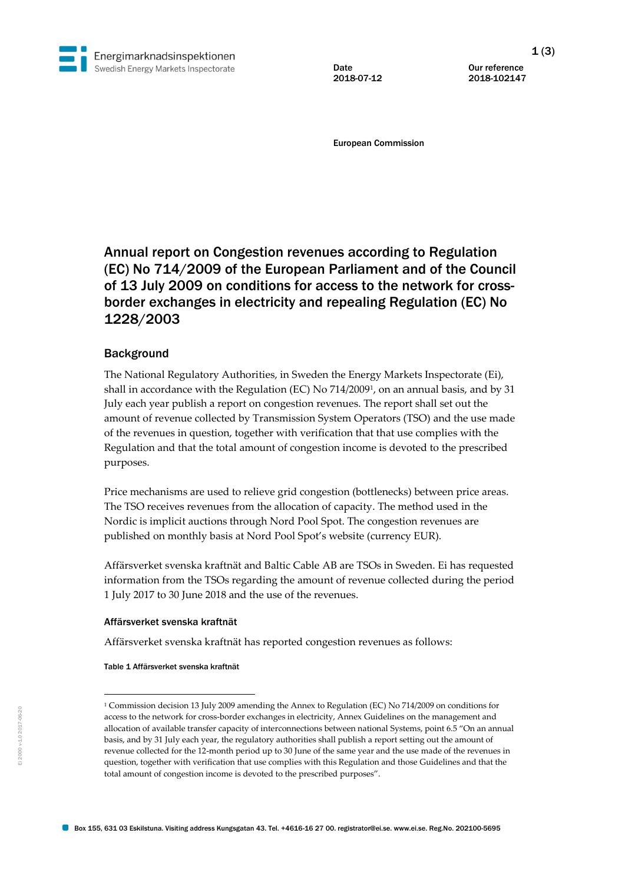

Date Our reference 2018-07-12 2018-102147

European Commission

# Annual report on Congestion revenues according to Regulation (EC) No 714/2009 of the European Parliament and of the Council of 13 July 2009 on conditions for access to the network for crossborder exchanges in electricity and repealing Regulation (EC) No 1228/2003

# **Background**

The National Regulatory Authorities, in Sweden the Energy Markets Inspectorate (Ei), shall in accordance with the Regulation (EC) No 714/2009<sup>1</sup> , on an annual basis, and by 31 July each year publish a report on congestion revenues. The report shall set out the amount of revenue collected by Transmission System Operators (TSO) and the use made of the revenues in question, together with verification that that use complies with the Regulation and that the total amount of congestion income is devoted to the prescribed purposes.

Price mechanisms are used to relieve grid congestion (bottlenecks) between price areas. The TSO receives revenues from the allocation of capacity. The method used in the Nordic is implicit auctions through Nord Pool Spot. The congestion revenues are published on monthly basis at Nord Pool Spot's website (currency EUR).

Affärsverket svenska kraftnät and Baltic Cable AB are TSOs in Sweden. Ei has requested information from the TSOs regarding the amount of revenue collected during the period 1 July 2017 to 30 June 2018 and the use of the revenues.

## Affärsverket svenska kraftnät

Affärsverket svenska kraftnät has reported congestion revenues as follows:

Table 1 Affärsverket svenska kraftnät

-

<sup>1</sup> Commission decision 13 July 2009 amending the Annex to Regulation (EC) No 714/2009 on conditions for access to the network for cross-border exchanges in electricity, Annex Guidelines on the management and allocation of available transfer capacity of interconnections between national Systems, point 6.5 "On an annual basis, and by 31 July each year, the regulatory authorities shall publish a report setting out the amount of revenue collected for the 12-month period up to 30 June of the same year and the use made of the revenues in question, together with verification that use complies with this Regulation and those Guidelines and that the total amount of congestion income is devoted to the prescribed purposes".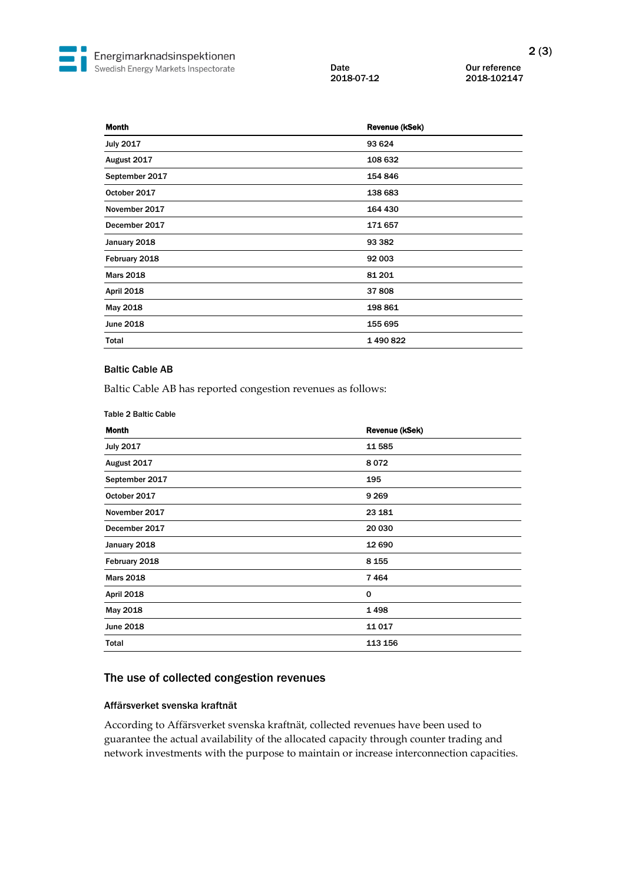Date 0ur reference<br>
2018-07-12 2018-102147 2018-07-12 2018-102147

| <b>Month</b>      | Revenue (kSek) |
|-------------------|----------------|
| <b>July 2017</b>  | 93 624         |
| August 2017       | 108 632        |
| September 2017    | 154 846        |
| October 2017      | 138 683        |
| November 2017     | 164 430        |
| December 2017     | 171657         |
| January 2018      | 93 382         |
| February 2018     | 92 003         |
| <b>Mars 2018</b>  | 81 201         |
| <b>April 2018</b> | 37808          |
| May 2018          | 198 861        |
| June 2018         | 155 695        |
| Total             | 1490822        |

## Baltic Cable AB

Baltic Cable AB has reported congestion revenues as follows:

#### Table 2 Baltic Cable

| <b>Month</b>      | Revenue (kSek) |
|-------------------|----------------|
| <b>July 2017</b>  | 11 585         |
| August 2017       | 8072           |
| September 2017    | 195            |
| October 2017      | 9 2 6 9        |
| November 2017     | 23 181         |
| December 2017     | 20 030         |
| January 2018      | 12 690         |
| February 2018     | 8 1 5 5        |
| <b>Mars 2018</b>  | 7464           |
| <b>April 2018</b> | 0              |
| May 2018          | 1498           |
| June 2018         | 11017          |
| Total             | 113 156        |

# The use of collected congestion revenues

## Affärsverket svenska kraftnät

According to Affärsverket svenska kraftnät, collected revenues have been used to guarantee the actual availability of the allocated capacity through counter trading and network investments with the purpose to maintain or increase interconnection capacities.